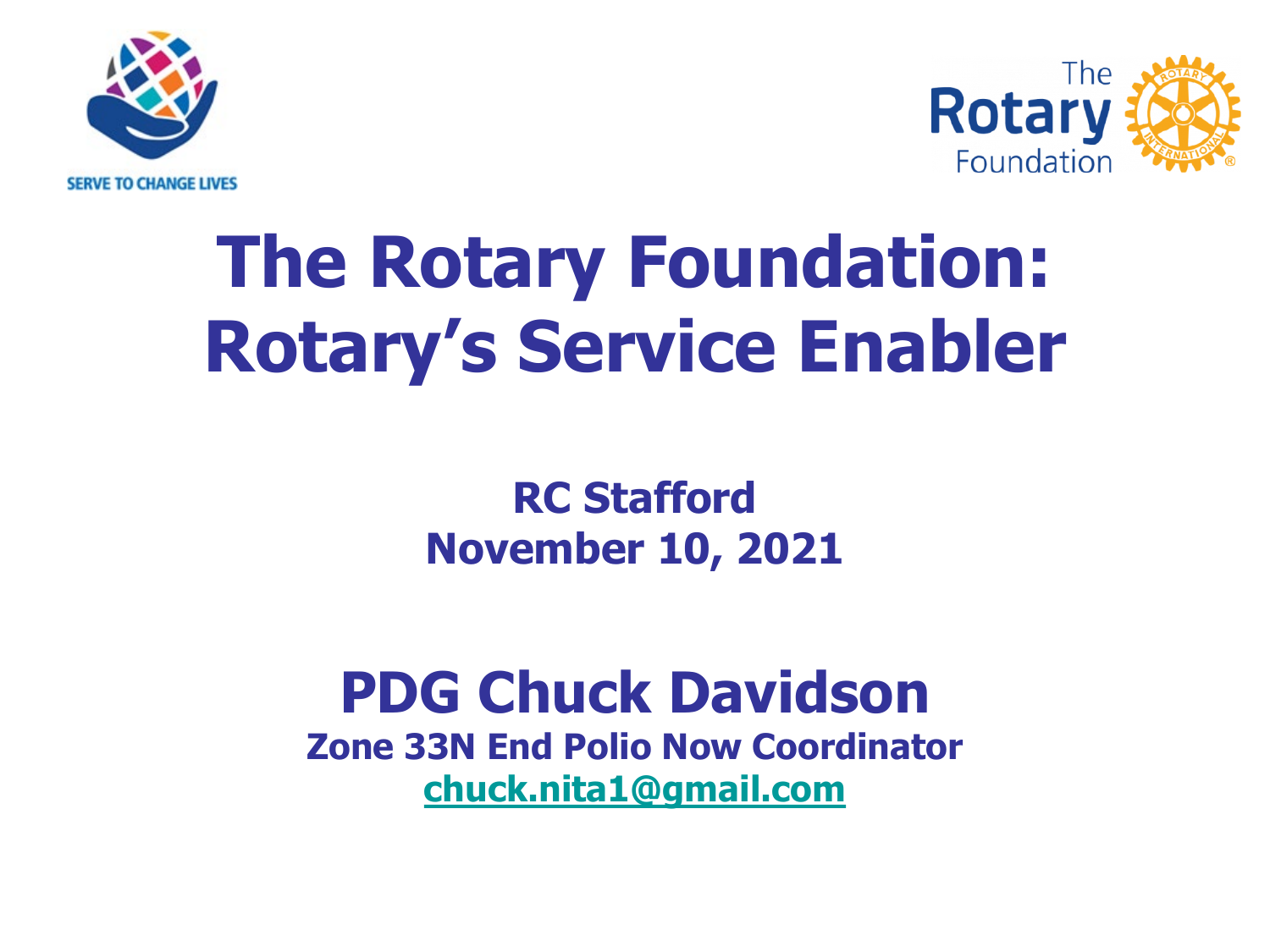



#### **The Rotary Foundation: Rotary's Service Enabler**

#### **RC Stafford November 10, 2021**

#### **PDG Chuck Davidson**

**Zone 33N End Polio Now Coordinator [chuck.nita1@gmail.com](mailto:chuck.nita1@gmail.com)**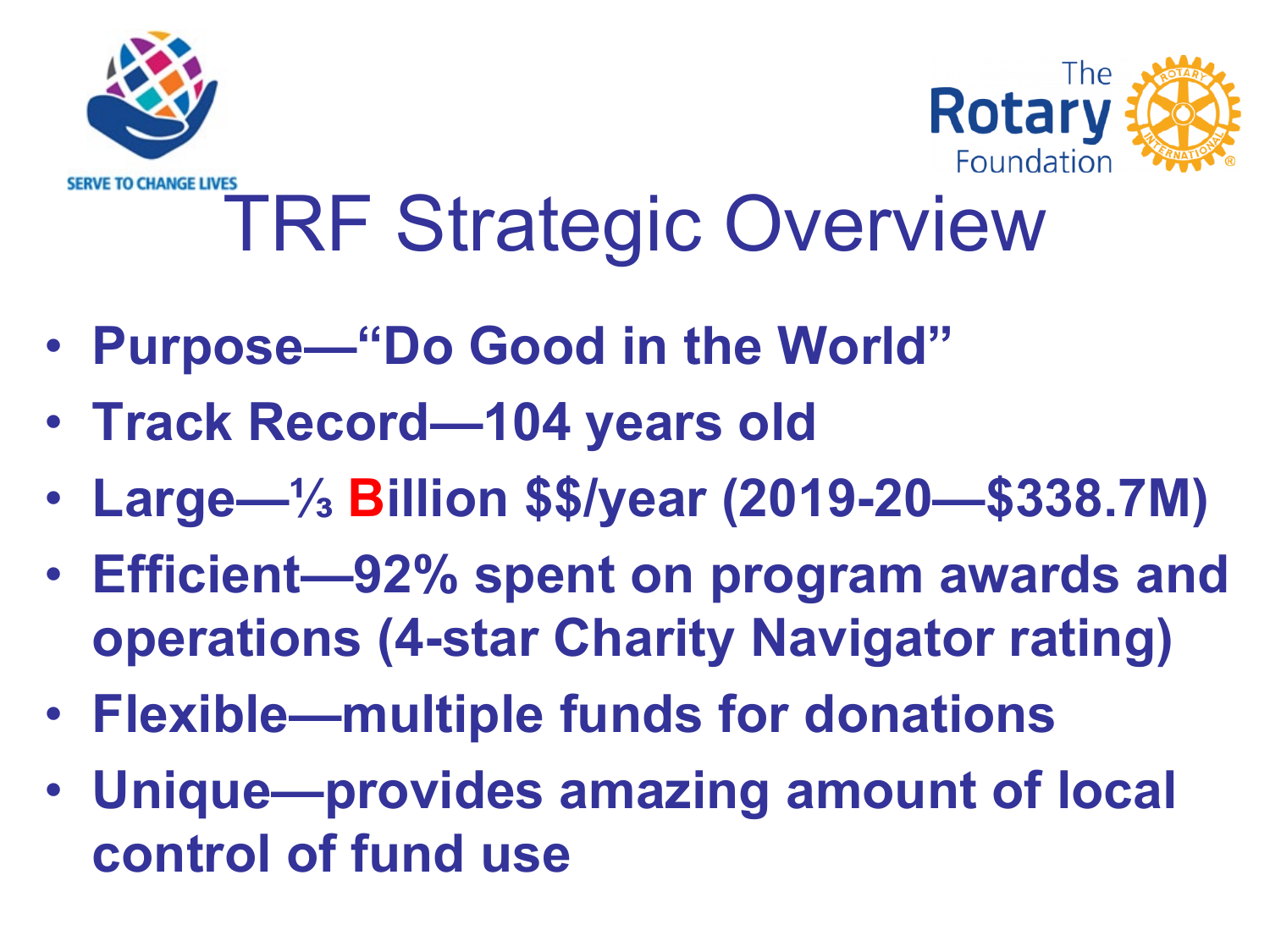



#### **/E TO CHANGE LIVES** TRF Strategic Overview

- **Purpose—"Do Good in the World"**
- **Track Record—104 years old**
- **Large—⅓ Billion \$\$/year (2019-20—\$338.7M)**
- **Efficient—92% spent on program awards and operations (4-star Charity Navigator rating)**
- **Flexible—multiple funds for donations**
- **Unique—provides amazing amount of local control of fund use**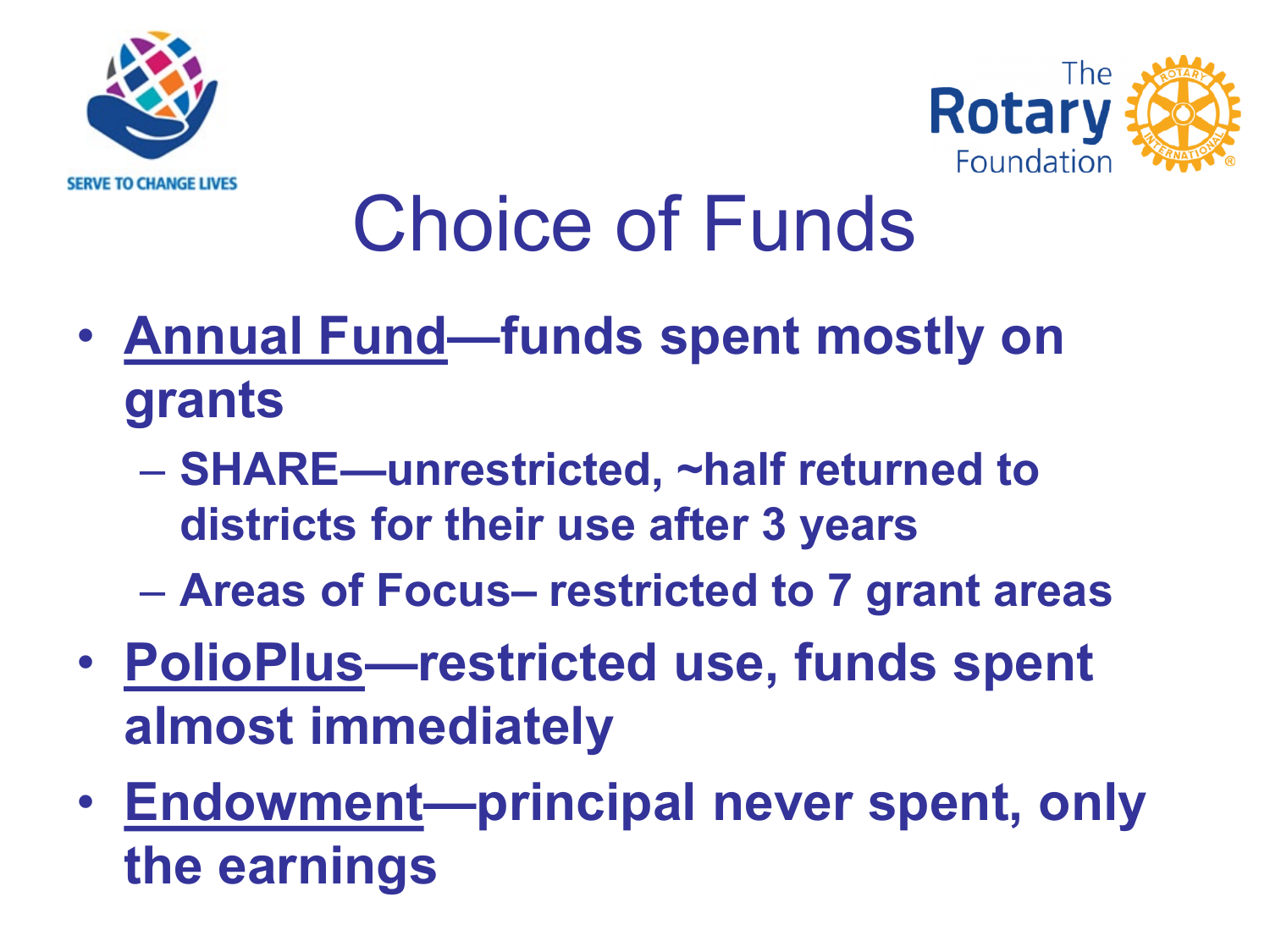



## Choice of Funds

- **Annual Fund—funds spent mostly on grants**
	- **SHARE—unrestricted, ~half returned to districts for their use after 3 years**
	- **Areas of Focus– restricted to 7 grant areas**
- **PolioPlus—restricted use, funds spent almost immediately**
- **Endowment—principal never spent, only the earnings**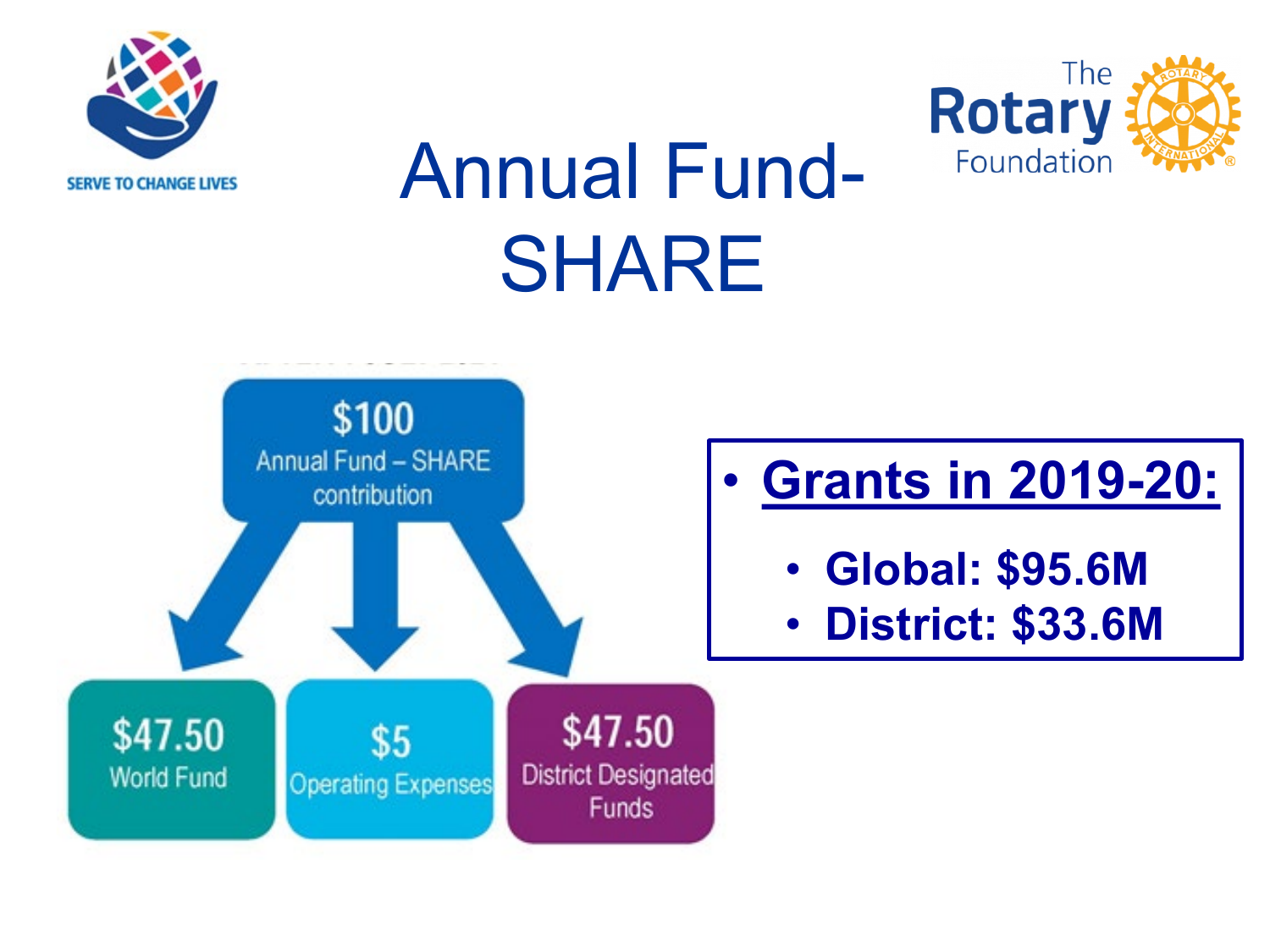



## Annual Fund-SHARE

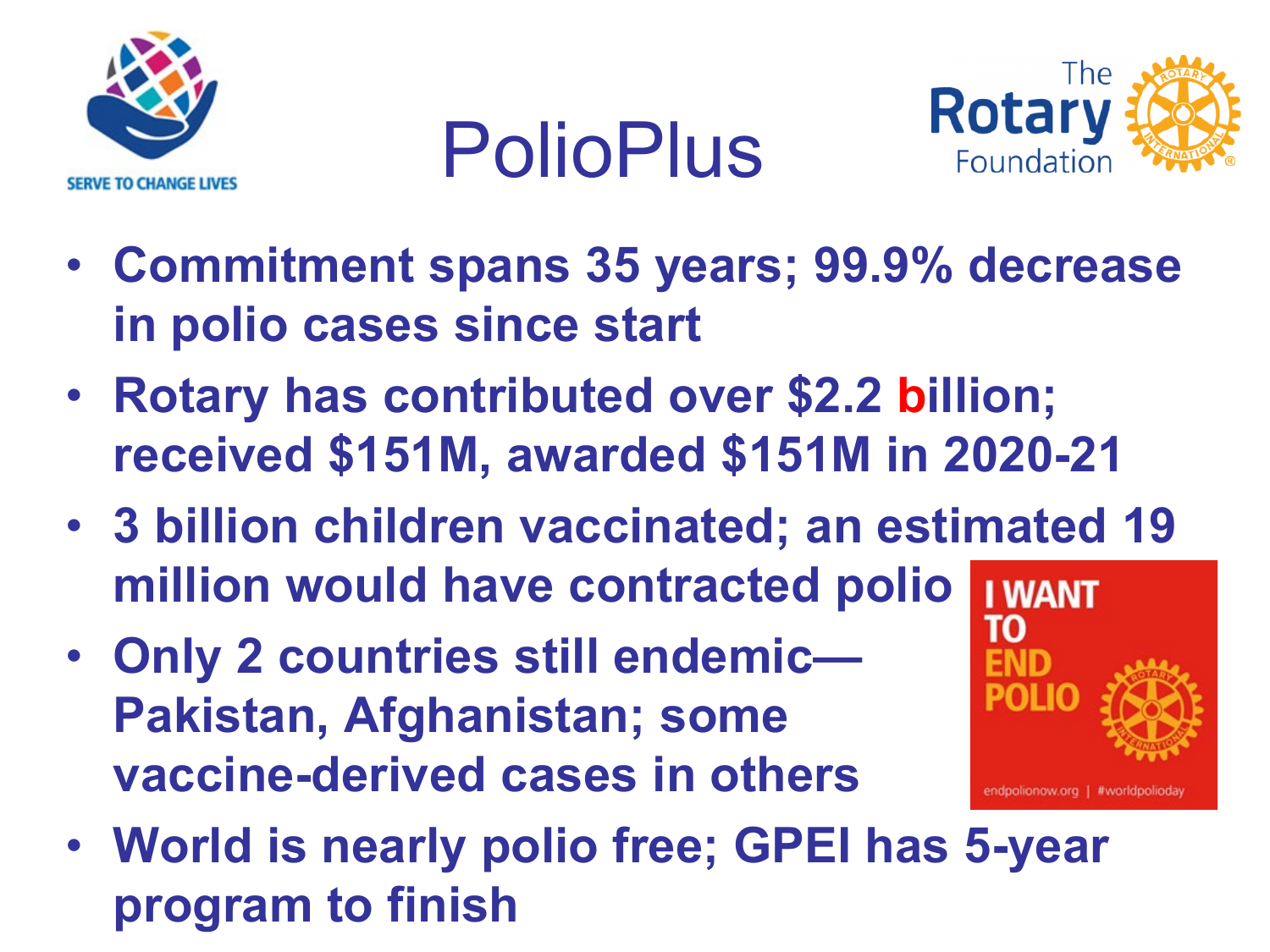

PolioPlus



- **Commitment spans 35 years; 99.9% decrease in polio cases since start**
- **Rotary has contributed over \$2.2 billion; received \$151M, awarded \$151M in 2020-21**
- **3 billion children vaccinated; an estimated 19 million would have contracted polio I WANT**
- **Only 2 countries still endemic— Pakistan, Afghanistan; some vaccine-derived cases in others**



• **World is nearly polio free; GPEI has 5-year program to finish**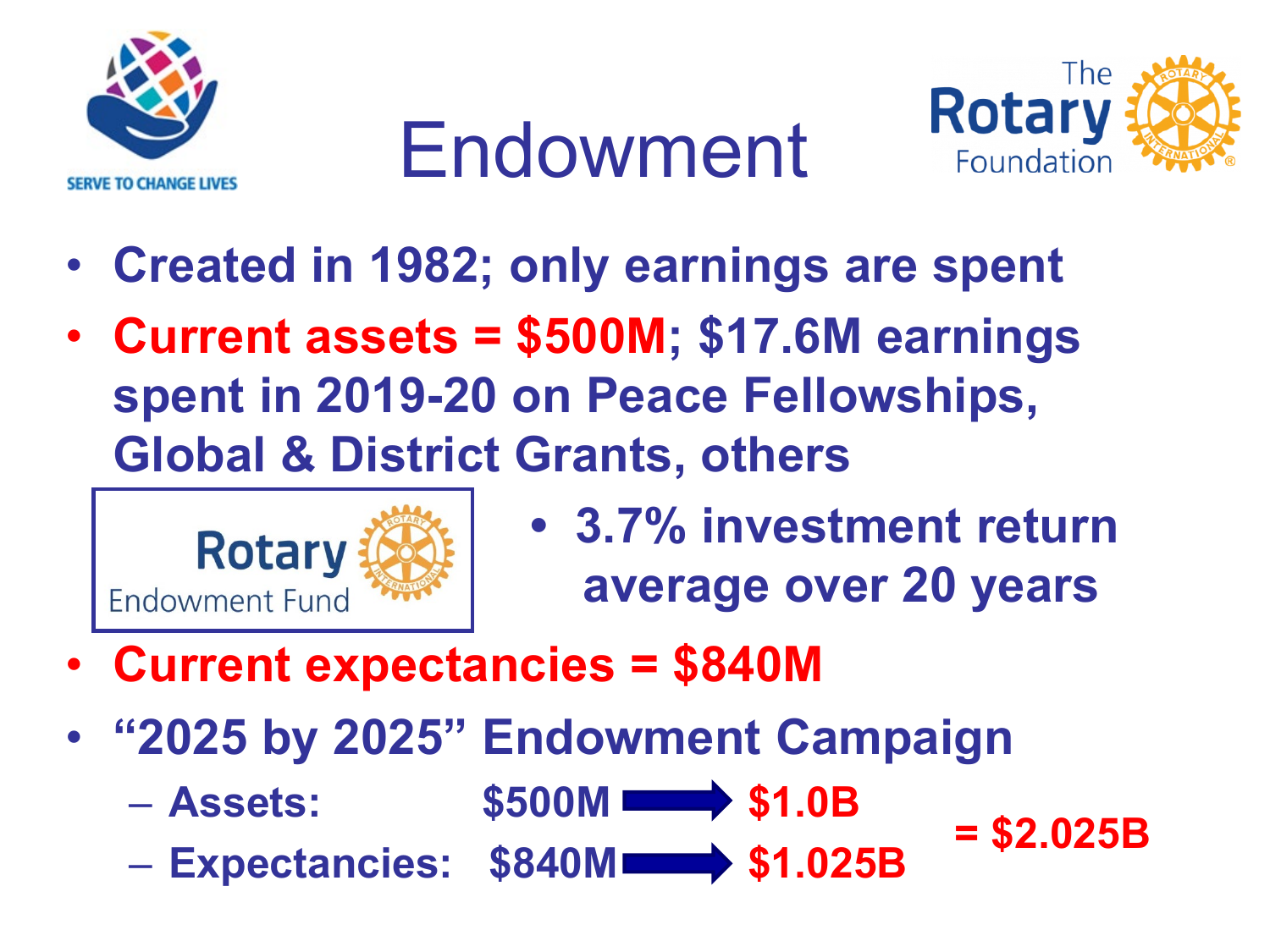

### Endowment



- **Created in 1982; only earnings are spent**
- **Current assets = \$500M; \$17.6M earnings spent in 2019-20 on Peace Fellowships, Global & District Grants, others**



- **Rotary**  $\left|\frac{1}{2}\right|$  **3.7% investment return average over 20 years**
- **Current expectancies = \$840M**
- **"2025 by 2025" Endowment Campaign**
	- $-$  **Assets:** \$500M **\$1.0B**
	- $-$  **Expectancies:**  $$840M$   $\longrightarrow$   $$1.025B$   $=$   $$2.025B$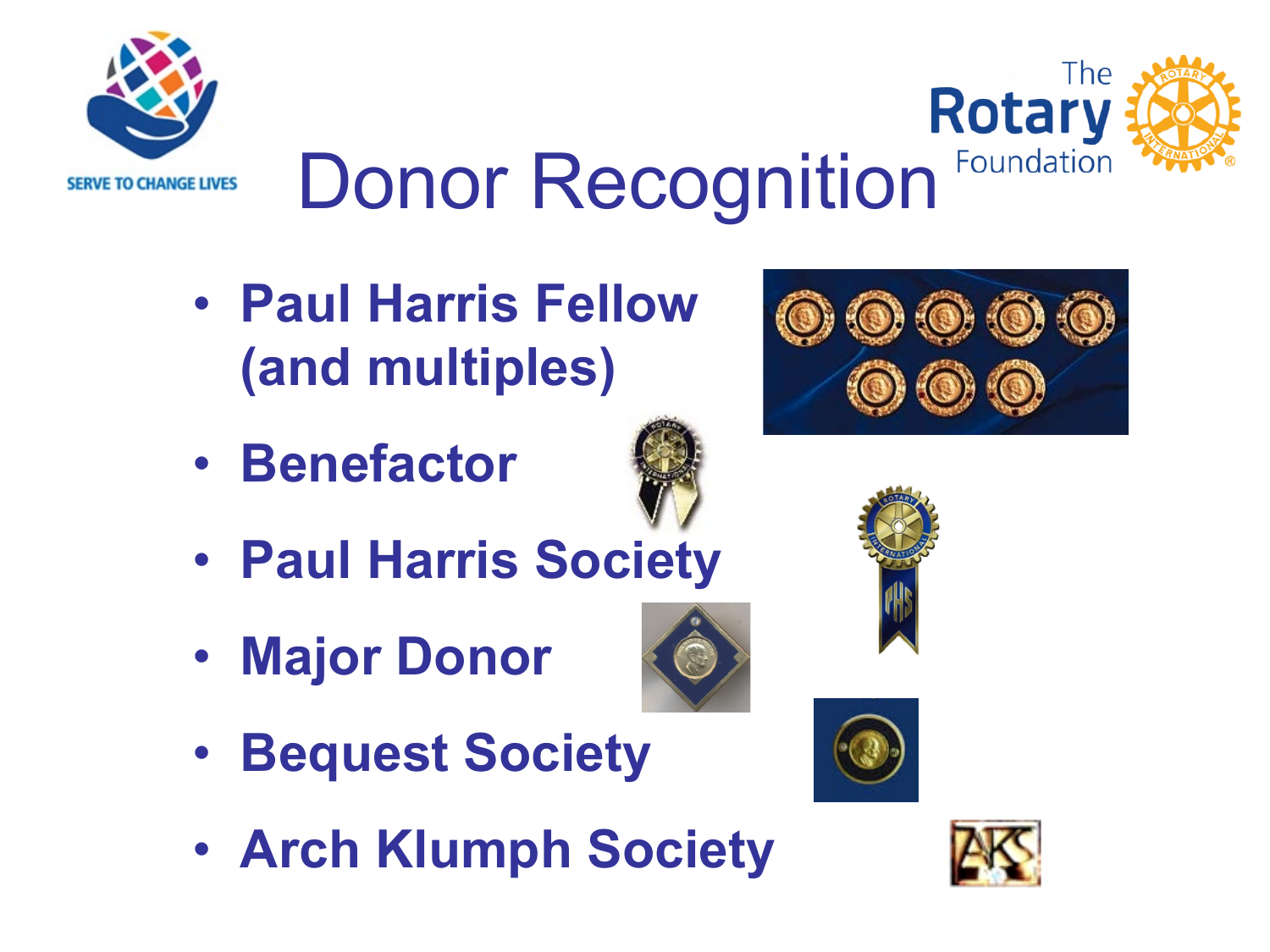



# Donor Recognition

- **Paul Harris Fellow (and multiples)**
- **Benefactor**



- **Paul Harris Society**
- **Major Donor**



• **Arch Klumph Society**









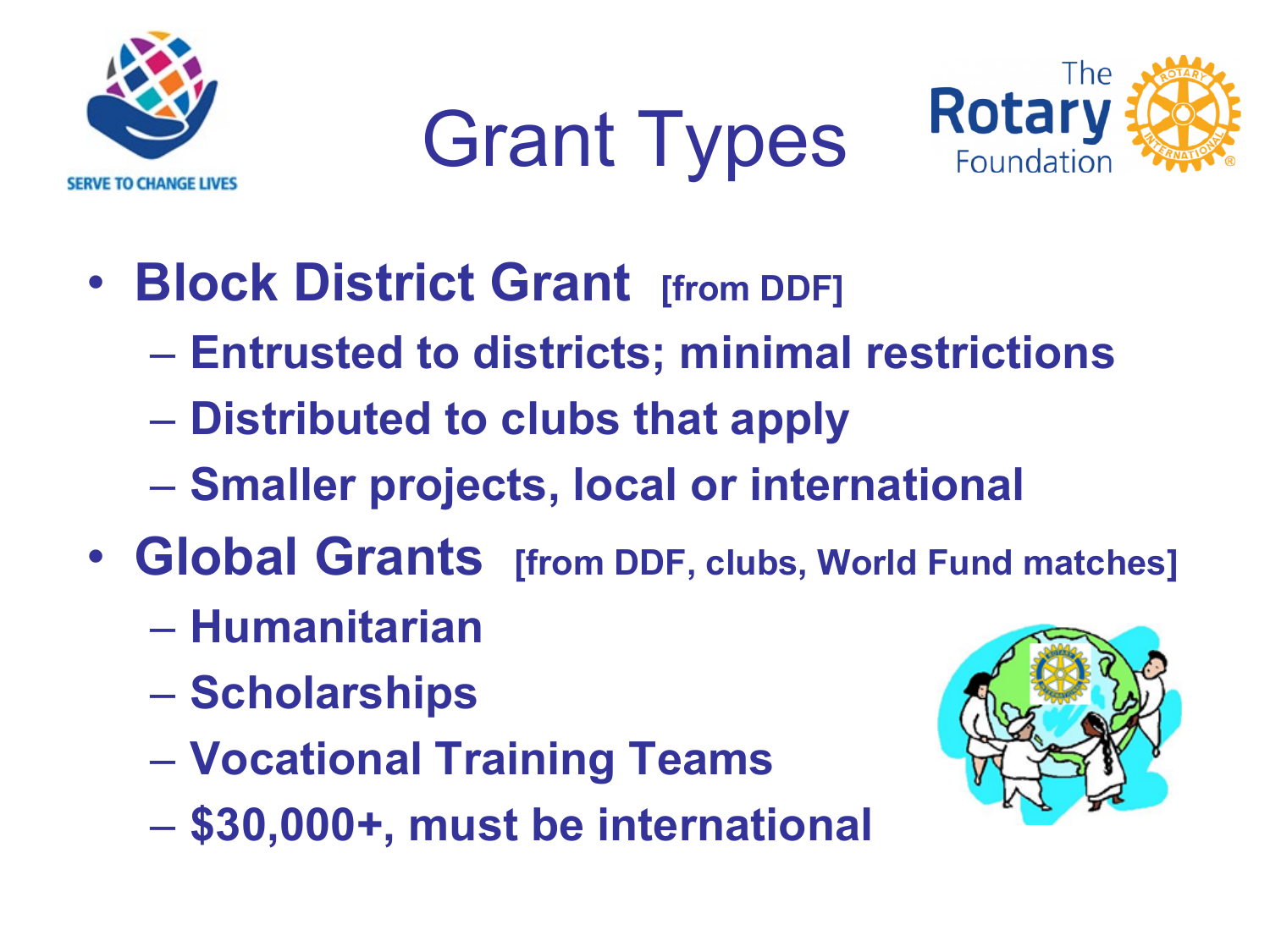

Grant Types



- **Block District Grant [from DDF]** 
	- **Entrusted to districts; minimal restrictions**
	- **Distributed to clubs that apply**
	- **Smaller projects, local or international**
- **Global Grants [from DDF, clubs, World Fund matches]**
	- **Humanitarian**
	- **Scholarships**
	- **Vocational Training Teams**
	- **\$30,000+, must be international**